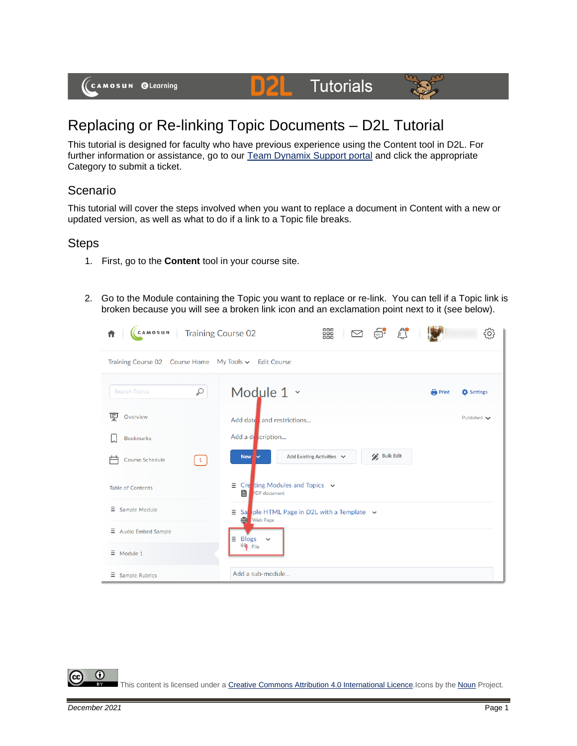(CAMOSUN @Learning

## Replacing or Re-linking Topic Documents – D2L Tutorial

This tutorial is designed for faculty who have previous experience using the Content tool in D2L. For further information or assistance, go to our **Team Dynamix Support portal** and click the appropriate Category to submit a ticket.

DZI

**Tutorials** 

## Scenario

This tutorial will cover the steps involved when you want to replace a document in Content with a new or updated version, as well as what to do if a link to a Topic file breaks.

## **Steps**

- 1. First, go to the **Content** tool in your course site.
- 2. Go to the Module containing the Topic you want to replace or re-link. You can tell if a Topic link is broken because you will see a broken link icon and an exclamation point next to it (see below).



0

This content is licensed under [a Creative Commons Attribution 4.0 International Licence.I](https://creativecommons.org/licenses/by/4.0/)cons by the [Noun](https://creativecommons.org/website-icons/) Project.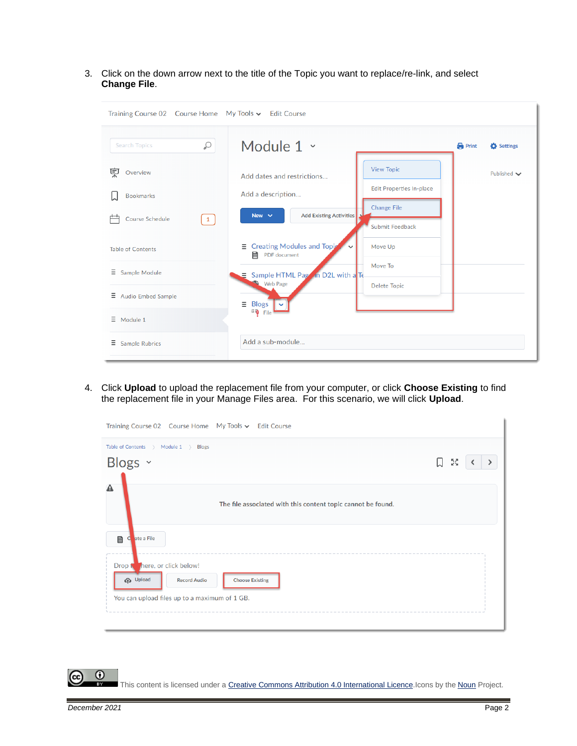3. Click on the down arrow next to the title of the Topic you want to replace/re-link, and select **Change File**.

| Training Course 02 Course Home My Tools v Edit Course |                                                                                              |                          |
|-------------------------------------------------------|----------------------------------------------------------------------------------------------|--------------------------|
| Q<br><b>Search Topics</b>                             | Module $1 \times$                                                                            | <b>Print</b><br>Settings |
| 稟<br>Overview                                         | <b>View Topic</b><br>Add dates and restrictions                                              | Published $\smile$       |
| <b>Bookmarks</b>                                      | <b>Edit Properties In-place</b><br>Add a description                                         |                          |
| <b>Course Schedule</b><br>$\mathbf{1}$                | <b>Change File</b><br><b>Add Existing Activities</b><br>New $\sim$<br><b>Submit Feedback</b> |                          |
| <b>Table of Contents</b>                              | <b>Creating Modules and Topic</b><br>Move Up<br>Ξ<br>PDF document                            |                          |
| Ξ<br>Sample Module                                    | Move To<br>Sample HTML Page in D2L with a Te<br>Ξ                                            |                          |
| Ξ<br><b>Audio Embed Sample</b>                        | Web Page<br><b>Delete Topic</b><br>Ξ<br><b>Blogs</b>                                         |                          |
| $\equiv$ Module 1                                     | <sup>Gi</sup> File                                                                           |                          |
| Ξ<br><b>Sample Rubrics</b>                            | Add a sub-module                                                                             |                          |

4. Click **Upload** to upload the replacement file from your computer, or click **Choose Existing** to find the replacement file in your Manage Files area. For this scenario, we will click **Upload**.

|                                | Table of Contents > Module 1 > Blogs |                                                              |        |
|--------------------------------|--------------------------------------|--------------------------------------------------------------|--------|
| Blogs v                        |                                      |                                                              | 口<br>M |
|                                |                                      |                                                              |        |
| Α                              |                                      | The file associated with this content topic cannot be found. |        |
| 目<br>ate a File<br>C           |                                      |                                                              |        |
| Drop for here, or click below! |                                      |                                                              |        |
| <b>G</b> Upload                | <b>Record Audio</b>                  | <b>Choose Existing</b>                                       |        |
|                                |                                      |                                                              |        |

 $\odot$ This content is licensed under [a Creative Commons Attribution 4.0 International Licence.I](https://creativecommons.org/licenses/by/4.0/)cons by the [Noun](https://creativecommons.org/website-icons/) Project.